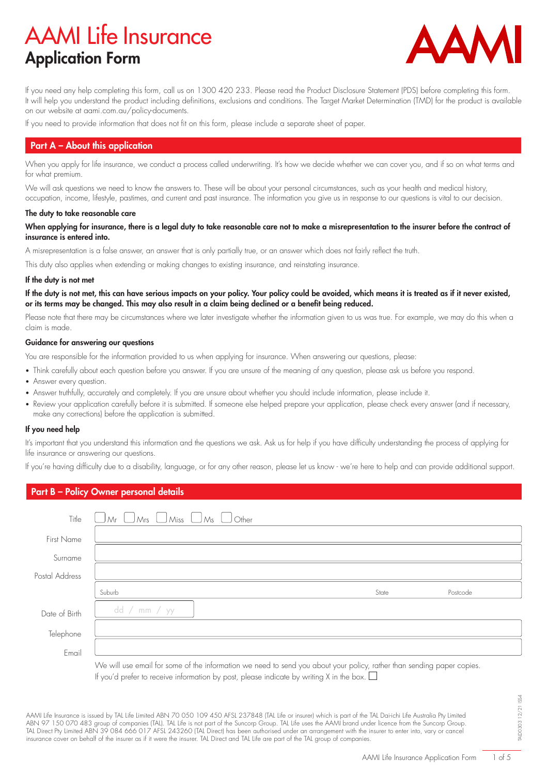# AAMI Life Insurance Application Form



If you need any help completing this form, call us on 1300 420 233. Please read the Product Disclosure Statement (PDS) before completing this form. It will help you understand the product including definitions, exclusions and conditions. The Target Market Determination (TMD) for the product is available on our website at aami.com.au/policy-documents.

If you need to provide information that does not fit on this form, please include a separate sheet of paper.

# Part A – About this application

When you apply for life insurance, we conduct a process called underwriting. It's how we decide whether we can cover you, and if so on what terms and for what premium.

We will ask questions we need to know the answers to. These will be about your personal circumstances, such as your health and medical history, occupation, income, lifestyle, pastimes, and current and past insurance. The information you give us in response to our questions is vital to our decision.

### The duty to take reasonable care

When applying for insurance, there is a legal duty to take reasonable care not to make a misrepresentation to the insurer before the contract of insurance is entered into.

A misrepresentation is a false answer, an answer that is only partially true, or an answer which does not fairly reflect the truth.

This duty also applies when extending or making changes to existing insurance, and reinstating insurance.

#### If the duty is not met

If the duty is not met, this can have serious impacts on your policy. Your policy could be avoided, which means it is treated as if it never existed, or its terms may be changed. This may also result in a claim being declined or a benefit being reduced.

Please note that there may be circumstances where we later investigate whether the information given to us was true. For example, we may do this when a claim is made.

#### Guidance for answering our questions

You are responsible for the information provided to us when applying for insurance. When answering our questions, please:

- Think carefully about each question before you answer. If you are unsure of the meaning of any question, please ask us before you respond.
- Answer every question.
- Answer truthfully, accurately and completely. If you are unsure about whether you should include information, please include it.
- Review your application carefully before it is submitted. If someone else helped prepare your application, please check every answer (and if necessary, make any corrections) before the application is submitted.

#### If you need help

It's important that you understand this information and the questions we ask. Ask us for help if you have difficulty understanding the process of applying for life insurance or answering our questions.

If you're having difficulty due to a disability, language, or for any other reason, please let us know - we're here to help and can provide additional support.

# Part B – Policy Owner personal details

| Title              | $\bigcup$ Miss $\bigcup$ Ms $\vert$<br>$\bigcup$ Mrs $\qquad$<br>l Mr | $\bigcup$ Other |       |          |
|--------------------|-----------------------------------------------------------------------|-----------------|-------|----------|
| <b>First Name</b>  |                                                                       |                 |       |          |
| Surname            |                                                                       |                 |       |          |
| Postal Address     |                                                                       |                 |       |          |
|                    |                                                                       |                 |       |          |
|                    | Suburb                                                                |                 | State | Postcode |
| Date of Birth      | dd / mm / $yy$                                                        |                 |       |          |
|                    |                                                                       |                 |       |          |
| Telephone<br>Email |                                                                       |                 |       |          |

If you'd prefer to receive information by post, please indicate by writing X in the box.  $\Box$ 

AAMI Life Insurance is issued by TAL Life Limited ABN 70 050 109 450 AFSL 237848 (TAL Life or insurer) which is part of the TAL Dai-ichi Life Australia Pty Limited ABN 97 150 070 483 group of companies (TAL). TAL Life is not part of the Suncorp Group. TAL Life uses the AAMI brand under licence from the Suncorp Group. TAL Direct Pty Limited ABN 39 084 666 017 AFSL 243260 (TAL Direct) has been authorised under an arrangement with the insurer to enter into, vary or cancel insurance cover on behalf of the insurer as if it were the insurer. TAL Direct and TAL Life are part of the TAL group of companies.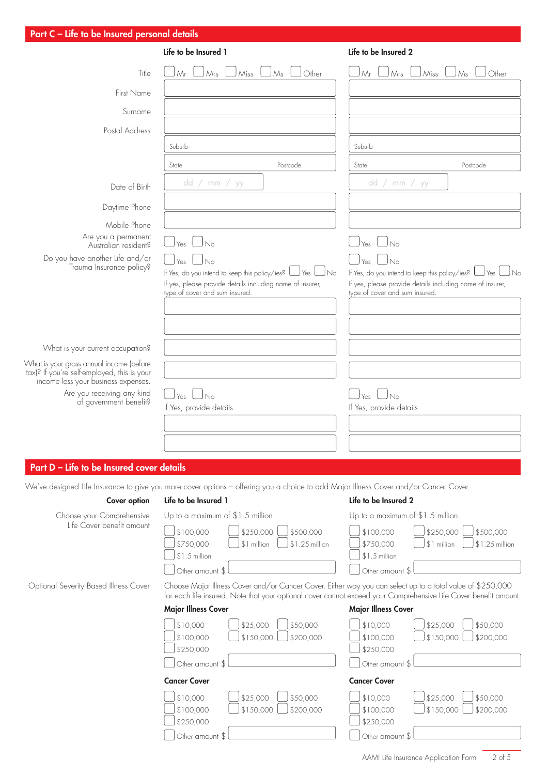| Part C - Life to be Insured personal details                                            |                                                                                                                                                              |                                                                                                                                                |
|-----------------------------------------------------------------------------------------|--------------------------------------------------------------------------------------------------------------------------------------------------------------|------------------------------------------------------------------------------------------------------------------------------------------------|
|                                                                                         | Life to be Insured 1                                                                                                                                         | Life to be Insured 2                                                                                                                           |
| Title                                                                                   | Other<br>Miss<br>Mr<br>Mrs<br>Ms                                                                                                                             | Miss<br>Other<br>Mr<br>Mrs<br>Ms                                                                                                               |
| <b>First Name</b>                                                                       |                                                                                                                                                              |                                                                                                                                                |
| Surname                                                                                 |                                                                                                                                                              |                                                                                                                                                |
| Postal Address                                                                          |                                                                                                                                                              |                                                                                                                                                |
|                                                                                         | Suburb                                                                                                                                                       | Suburb                                                                                                                                         |
|                                                                                         | Postcode<br>State                                                                                                                                            | State<br>Postcode                                                                                                                              |
| Date of Birth                                                                           | dd / mm /<br>уу                                                                                                                                              | dd / mm /<br>уу                                                                                                                                |
| Daytime Phone                                                                           |                                                                                                                                                              |                                                                                                                                                |
| Mobile Phone                                                                            |                                                                                                                                                              |                                                                                                                                                |
| Are you a permanent<br>Australian resident?                                             | No<br>Yes                                                                                                                                                    | $\overline{\mathsf{N}}$<br>Yes                                                                                                                 |
| Do you have another Life and/or                                                         | l No<br>Yes                                                                                                                                                  | Yes                                                                                                                                            |
| Trauma Insurance policy?                                                                | If Yes, do you intend to keep this policy/ies? L<br>J Yes<br>l No                                                                                            | If Yes, do you intend to keep this policy/ies? [<br>JNo<br>_J Yes                                                                              |
|                                                                                         | If yes, please provide details including name of insurer,<br>type of cover and sum insured.                                                                  | If yes, please provide details including name of insurer,<br>type of cover and sum insured.                                                    |
|                                                                                         |                                                                                                                                                              |                                                                                                                                                |
|                                                                                         |                                                                                                                                                              |                                                                                                                                                |
| What is your current occupation?                                                        |                                                                                                                                                              |                                                                                                                                                |
| What is your gross annual income (before<br>tax)? If you're self-employed, this is your |                                                                                                                                                              |                                                                                                                                                |
| income less your business expenses.                                                     |                                                                                                                                                              |                                                                                                                                                |
| Are you receiving any kind<br>of government benefit?                                    | l No<br>Yes<br>If Yes, provide details                                                                                                                       | J <sub>No</sub><br>Yes<br>If Yes, provide details                                                                                              |
|                                                                                         |                                                                                                                                                              |                                                                                                                                                |
|                                                                                         |                                                                                                                                                              |                                                                                                                                                |
|                                                                                         |                                                                                                                                                              |                                                                                                                                                |
| Part D - Life to be Insured cover details                                               |                                                                                                                                                              |                                                                                                                                                |
| Cover option                                                                            | We've designed Life Insurance to give you more cover options - offering you a choice to add Major Illness Cover and/or Cancer Cover.<br>Life to be Insured 1 | Life to be Insured 2                                                                                                                           |
| Choose your Comprehensive                                                               | Up to a maximum of \$1.5 million.                                                                                                                            | Up to a maximum of \$1.5 million.                                                                                                              |
| Life Cover benefit amount                                                               | \$500,000<br>\$100,000<br>\$250,000                                                                                                                          | \$100,000<br>\$250,000<br>\$500,000                                                                                                            |
|                                                                                         | \$1.25 million<br>\$750,000<br>\$1 million                                                                                                                   | \$750,000<br>\$1.25 million<br>\$1 million<br>$$1.5$ million                                                                                   |
|                                                                                         | $$1.5$ million<br>Other amount \$                                                                                                                            | Other amount \$                                                                                                                                |
| Optional Severity Based Illness Cover                                                   | Choose Major Illness Cover and/or Cancer Cover. Either way you can select up to a total value of \$250,000                                                   |                                                                                                                                                |
|                                                                                         | <b>Major Illness Cover</b>                                                                                                                                   | for each life insured. Note that your optional cover cannot exceed your Comprehensive Life Cover benefit amount.<br><b>Major Illness Cover</b> |
|                                                                                         | \$10,000<br>\$25,000<br>\$50,000                                                                                                                             | \$25,000<br>\$50,000<br>\$10,000                                                                                                               |
|                                                                                         | \$100,000<br>\$150,000<br>\$200,000                                                                                                                          | \$150,000<br>\$200,000<br>\$100,000                                                                                                            |
|                                                                                         | \$250,000<br>Other amount \$                                                                                                                                 | \$250,000                                                                                                                                      |
|                                                                                         | <b>Cancer Cover</b>                                                                                                                                          | Other amount \$<br><b>Cancer Cover</b>                                                                                                         |
|                                                                                         | \$10,000<br>\$25,000<br>\$50,000                                                                                                                             | \$10,000<br>\$25,000<br>\$50,000                                                                                                               |
|                                                                                         | \$200,000<br>\$100,000<br>\$150,000                                                                                                                          | \$200,000<br>\$100,000<br>\$150,000                                                                                                            |
|                                                                                         | \$250,000                                                                                                                                                    | \$250,000                                                                                                                                      |
|                                                                                         | Other amount \$                                                                                                                                              | Other amount \$                                                                                                                                |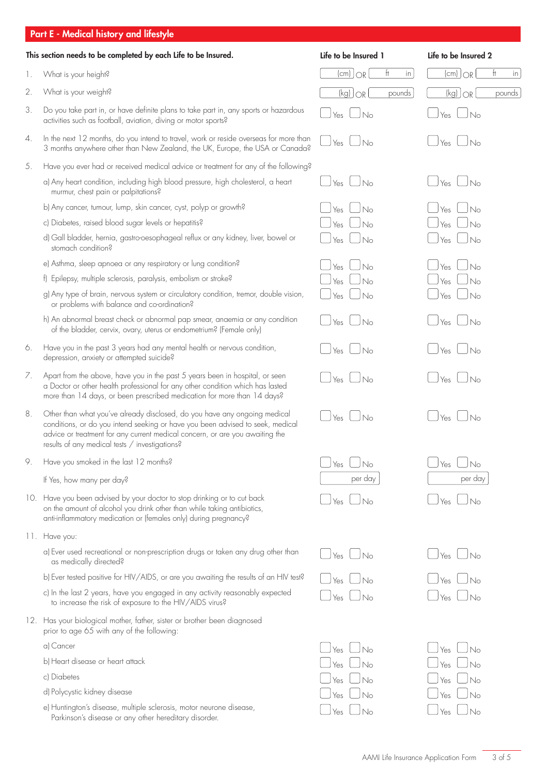# Part E - Medical history and lifestyle

| This section needs to be completed by each Life to be Insured. |                                                                                                                                                                                                                                                                                               | Life to be Insured 1                                                              | Life to be Insured 2           |  |
|----------------------------------------------------------------|-----------------------------------------------------------------------------------------------------------------------------------------------------------------------------------------------------------------------------------------------------------------------------------------------|-----------------------------------------------------------------------------------|--------------------------------|--|
| 1.                                                             | What is your height?                                                                                                                                                                                                                                                                          | ft<br>$[cm]$ $OR$<br>in                                                           | $(cm)$ $OR$<br>Ħ<br>in         |  |
| 2.                                                             | What is your weight?                                                                                                                                                                                                                                                                          | $(kg)$ $OR$<br>pounds                                                             | $\overline{[kg]}$ OR<br>pounds |  |
| 3.                                                             | Do you take part in, or have definite plans to take part in, any sports or hazardous<br>activities such as football, aviation, diving or motor sports?                                                                                                                                        | $\Box$ No<br>Yes                                                                  | l No<br>Yes                    |  |
| 4.                                                             | In the next 12 months, do you intend to travel, work or reside overseas for more than<br>3 months anywhere other than New Zealand, the UK, Europe, the USA or Canada?                                                                                                                         | $\overline{\phantom{a}}$ $\overline{\phantom{a}}$ $\overline{\phantom{a}}$<br>Yes | I <sub>No</sub><br>Yes         |  |
| 5.                                                             | Have you ever had or received medical advice or treatment for any of the following?                                                                                                                                                                                                           |                                                                                   |                                |  |
|                                                                | a) Any heart condition, including high blood pressure, high cholesterol, a heart<br>murmur, chest pain or palpitations?                                                                                                                                                                       | Yes<br>– JNo                                                                      | Yes<br><b>No</b>               |  |
|                                                                | b) Any cancer, tumour, lump, skin cancer, cyst, polyp or growth?                                                                                                                                                                                                                              | Yes<br>No                                                                         | No<br>Yes                      |  |
|                                                                | c) Diabetes, raised blood sugar levels or hepatitis?                                                                                                                                                                                                                                          | N <sub>0</sub><br>Yes                                                             | Yes<br>No                      |  |
|                                                                | d) Gall bladder, hernia, gastro-oesophageal reflux or any kidney, liver, bowel or<br>stomach condition?                                                                                                                                                                                       | $J_{\text{No}}$<br>Yes                                                            | No<br>Yes                      |  |
|                                                                | e) Asthma, sleep apnoea or any respiratory or lung condition?                                                                                                                                                                                                                                 | Yes<br>No                                                                         | Yes<br>No                      |  |
|                                                                | f) Epilepsy, multiple sclerosis, paralysis, embolism or stroke?                                                                                                                                                                                                                               | Yes<br>No                                                                         | No<br>Yes                      |  |
|                                                                | g) Any type of brain, nervous system or circulatory condition, tremor, double vision,<br>or problems with balance and co-ordination?                                                                                                                                                          | JNo<br>Yes                                                                        | <b>No</b><br>Yes               |  |
|                                                                | h) An abnormal breast check or abnormal pap smear, anaemia or any condition<br>of the bladder, cervix, ovary, uterus or endometrium? (Female only)                                                                                                                                            | Yes<br>_J No                                                                      | No<br>Yes                      |  |
| 6.                                                             | Have you in the past 3 years had any mental health or nervous condition,<br>depression, anxiety or attempted suicide?                                                                                                                                                                         | Yes<br>$\vert \vert_{N_o}$                                                        | I No<br>Yes                    |  |
| 7.                                                             | Apart from the above, have you in the past 5 years been in hospital, or seen<br>a Doctor or other health professional for any other condition which has lasted<br>more than 14 days, or been prescribed medication for more than 14 days?                                                     | Yes<br>$\Box$ No                                                                  | l No<br>Yes                    |  |
| 8.                                                             | Other than what you've already disclosed, do you have any ongoing medical<br>conditions, or do you intend seeking or have you been advised to seek, medical<br>advice or treatment for any current medical concern, or are you awaiting the<br>results of any medical tests / investigations? | Yes<br>J No                                                                       | Yes<br>No                      |  |
| 9.                                                             | Have you smoked in the last 12 months?                                                                                                                                                                                                                                                        | No<br>Yes                                                                         | Yes<br>No                      |  |
|                                                                | If Yes, how many per day?                                                                                                                                                                                                                                                                     | per day                                                                           | per day                        |  |
| 10.                                                            | Have you been advised by your doctor to stop drinking or to cut back<br>on the amount of alcohol you drink other than while taking antibiotics,<br>anti-inflammatory medication or (females only) during pregnancy?                                                                           | $J_{\text{No}}$<br>Yes                                                            | <b>No</b><br>Yes               |  |
|                                                                | 11. Have you:                                                                                                                                                                                                                                                                                 |                                                                                   |                                |  |
|                                                                | a) Ever used recreational or non-prescription drugs or taken any drug other than<br>as medically directed?                                                                                                                                                                                    | – JNo<br>Yes                                                                      | <b>No</b><br>Yes               |  |
|                                                                | b) Ever tested positive for HIV/AIDS, or are you awaiting the results of an HIV test?                                                                                                                                                                                                         | Yes<br>No                                                                         | Yes<br>No                      |  |
|                                                                | c) In the last 2 years, have you engaged in any activity reasonably expected<br>to increase the risk of exposure to the HIV/AIDS virus?                                                                                                                                                       | Yes<br>JNo                                                                        | No<br>Yes                      |  |
|                                                                | 12. Has your biological mother, father, sister or brother been diagnosed<br>prior to age 65 with any of the following:                                                                                                                                                                        |                                                                                   |                                |  |
|                                                                | a) Cancer                                                                                                                                                                                                                                                                                     | No<br>Yes                                                                         | Yes<br>No                      |  |
|                                                                | b) Heart disease or heart attack                                                                                                                                                                                                                                                              | No<br>Yes                                                                         | No<br>Yes                      |  |
|                                                                | c) Diabetes                                                                                                                                                                                                                                                                                   | Yes<br>No                                                                         | Yes<br>No                      |  |
|                                                                | d) Polycystic kidney disease                                                                                                                                                                                                                                                                  | No<br>Yes                                                                         | No<br>Yes                      |  |
|                                                                | e) Huntington's disease, multiple sclerosis, motor neurone disease,<br>Parkinson's disease or any other hereditary disorder.                                                                                                                                                                  | I No<br>Yes                                                                       | No<br>Yes                      |  |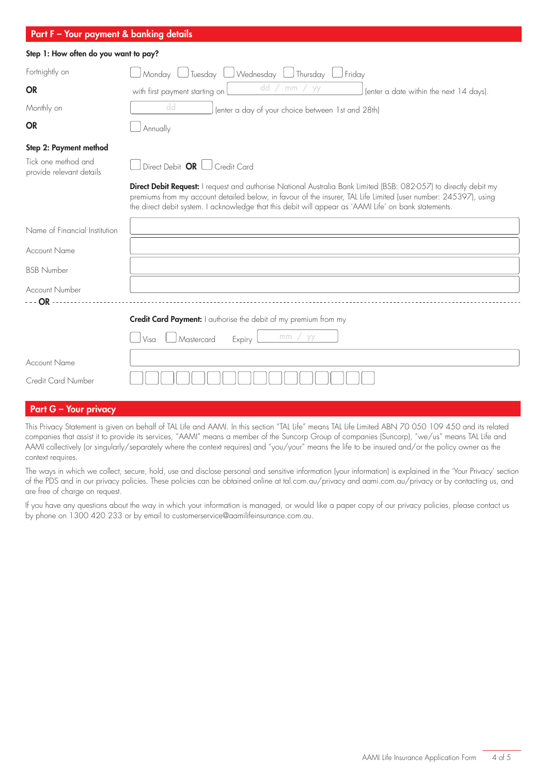| Part F - Your payment & banking details         |                                                                                                                                                                                                                                                                                                                                                       |
|-------------------------------------------------|-------------------------------------------------------------------------------------------------------------------------------------------------------------------------------------------------------------------------------------------------------------------------------------------------------------------------------------------------------|
| Step 1: How often do you want to pay?           |                                                                                                                                                                                                                                                                                                                                                       |
| Fortnightly on                                  | Monday<br>Wednesday U Thursday<br>J Tuesday l<br>Friday                                                                                                                                                                                                                                                                                               |
| <b>OR</b>                                       | dd<br>mm<br>yy<br>with first payment starting on<br>(enter a date within the next 14 days).                                                                                                                                                                                                                                                           |
| Monthly on                                      | dd<br>(enter a day of your choice between 1st and 28th)                                                                                                                                                                                                                                                                                               |
| <b>OR</b>                                       | Annually                                                                                                                                                                                                                                                                                                                                              |
| Step 2: Payment method                          |                                                                                                                                                                                                                                                                                                                                                       |
| Tick one method and<br>provide relevant details | Direct Debit $OR$ $\Box$ Credit Card                                                                                                                                                                                                                                                                                                                  |
|                                                 | <b>Direct Debit Request:</b> I request and authorise National Australia Bank Limited (BSB: 082-057) to directly debit my<br>premiums from my account detailed below, in favour of the insurer, TAL Life Limited (user number: 245397), using<br>the direct debit system. I acknowledge that this debit will appear as 'AAMI Life' on bank statements. |
| Name of Financial Institution                   |                                                                                                                                                                                                                                                                                                                                                       |
| <b>Account Name</b>                             |                                                                                                                                                                                                                                                                                                                                                       |
| <b>BSB Number</b>                               |                                                                                                                                                                                                                                                                                                                                                       |
| <b>Account Number</b>                           |                                                                                                                                                                                                                                                                                                                                                       |
| $- - OR - - -$                                  | <b>Credit Card Payment:</b> I authorise the debit of my premium from my                                                                                                                                                                                                                                                                               |
|                                                 | mm<br>yy<br>Visa<br>Mastercard<br>Expiry                                                                                                                                                                                                                                                                                                              |
| <b>Account Name</b>                             |                                                                                                                                                                                                                                                                                                                                                       |
| Credit Card Number                              |                                                                                                                                                                                                                                                                                                                                                       |
|                                                 |                                                                                                                                                                                                                                                                                                                                                       |
| <b>Part G - Your privacy</b>                    |                                                                                                                                                                                                                                                                                                                                                       |

This Privacy Statement is given on behalf of TAL Life and AAMI. In this section "TAL Life" means TAL Life Limited ABN 70 050 109 450 and its related companies that assist it to provide its services, "AAMI" means a member of the Suncorp Group of companies (Suncorp), "we/us" means TAL Life and AAMI collectively (or singularly/separately where the context requires) and "you/your" means the life to be insured and/or the policy owner as the context requires.

The ways in which we collect, secure, hold, use and disclose personal and sensitive information (your information) is explained in the 'Your Privacy' section of the PDS and in our privacy policies. These policies can be obtained online at tal.com.au/privacy and aami.com.au/privacy or by contacting us, and are free of charge on request.

If you have any questions about the way in which your information is managed, or would like a paper copy of our privacy policies, please contact us by phone on 1300 420 233 or by email to customerservice@aamilifeinsurance.com.au.